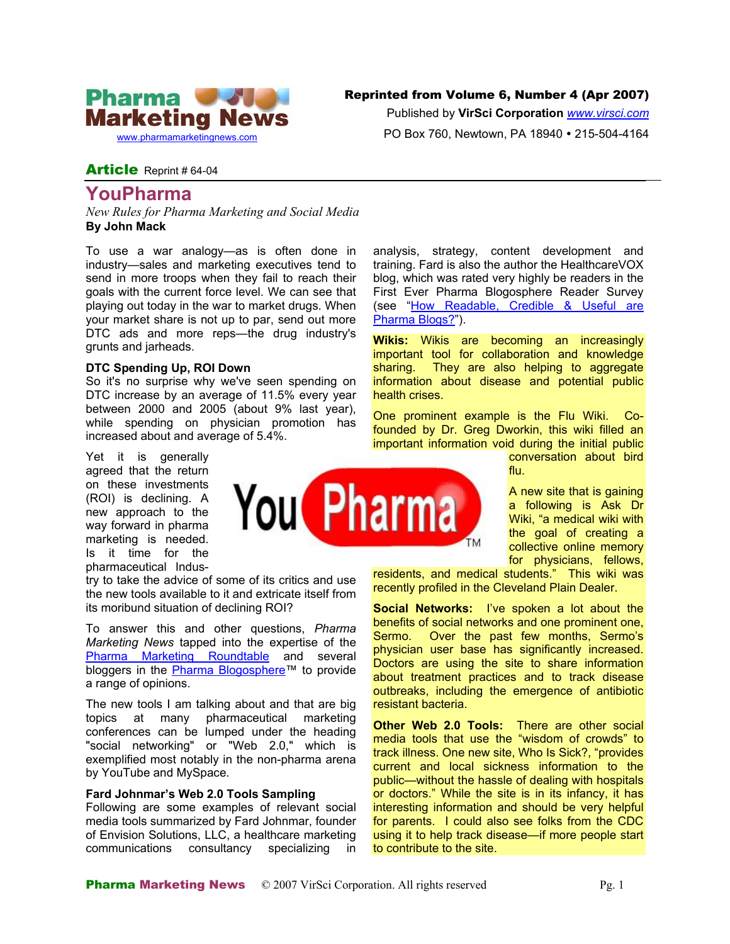

## Reprinted from Volume 6, Number 4 (Apr 2007)

Published by **VirSci Corporation** *[www.virsci.com](http://www.virsci.com/)* PO Box 760, Newtown, PA 18940 • 215-504-4164

# Article Reprint # 64-04

# **YouPharma**

*New Rules for Pharma Marketing and Social Media*  **By John Mack** 

To use a war analogy—as is often done in industry—sales and marketing executives tend to send in more troops when they fail to reach their goals with the current force level. We can see that playing out today in the war to market drugs. When your market share is not up to par, send out more DTC ads and more reps—the drug industry's grunts and jarheads.

### **DTC Spending Up, ROI Down**

So it's no surprise why we've seen spending on DTC increase by an average of 11.5% every year between 2000 and 2005 (about 9% last year), while spending on physician promotion has increased about and average of 5.4%.

Yet it is generally agreed that the return on these investments (ROI) is declining. A new approach to the way forward in pharma marketing is needed. Is it time for the pharmaceutical Indus-

try to take the advice of some of its critics and use the new tools available to it and extricate itself from its moribund situation of declining ROI?

To answer this and other questions, *Pharma Marketing News* tapped into the expertise of the [Pharma Marketing Roundtable](http://www.pharma-mkting.com/pmroundtable/pmroundtable-hp.html) and several bloggers in the [Pharma Blogosphere™](http://pharmablogosphere.blogspot.com/) to provide a range of opinions.

The new tools I am talking about and that are big topics at many pharmaceutical marketing conferences can be lumped under the heading "social networking" or "Web 2.0," which is exemplified most notably in the non-pharma arena by YouTube and MySpace.

### **Fard Johnmar's Web 2.0 Tools Sampling**

Following are some examples of relevant social media tools summarized by Fard Johnmar, founder of Envision Solutions, LLC, a healthcare marketing communications consultancy specializing in

analysis, strategy, content development and training. Fard is also the author the HealthcareVOX blog, which was rated very highly be readers in the First Ever Pharma Blogosphere Reader Survey (see "[How Readable, Credible](http://www.news.pharma-mkting.com/pmn64-article01.htm) & Useful are [Pharma Blogs?"](http://www.news.pharma-mkting.com/pmn64-article01.htm)).

**Wikis:** Wikis are becoming an increasingly important tool for collaboration and knowledge sharing. They are also helping to aggregate information about disease and potential public health crises.

One prominent example is the Flu Wiki. Cofounded by Dr. Greg Dworkin, this wiki filled an important information void during the initial public

conversation about bird flu.

A new site that is gaining a following is Ask Dr Wiki, "a medical wiki with the goal of creating a collective online memory for physicians, fellows,

residents, and medical students." This wiki was recently profiled in the Cleveland Plain Dealer.

**Social Networks:** I've spoken a lot about the benefits of social networks and one prominent one, Sermo. Over the past few months, Sermo's physician user base has significantly increased. Doctors are using the site to share information about treatment practices and to track disease outbreaks, including the emergence of antibiotic resistant bacteria.

**Other Web 2.0 Tools:** There are other social media tools that use the "wisdom of crowds" to track illness. One new site, Who Is Sick?, "provides current and local sickness information to the public—without the hassle of dealing with hospitals or doctors." While the site is in its infancy, it has interesting information and should be very helpful for parents. I could also see folks from the CDC using it to help track disease—if more people start to contribute to the site.

**You Pharma**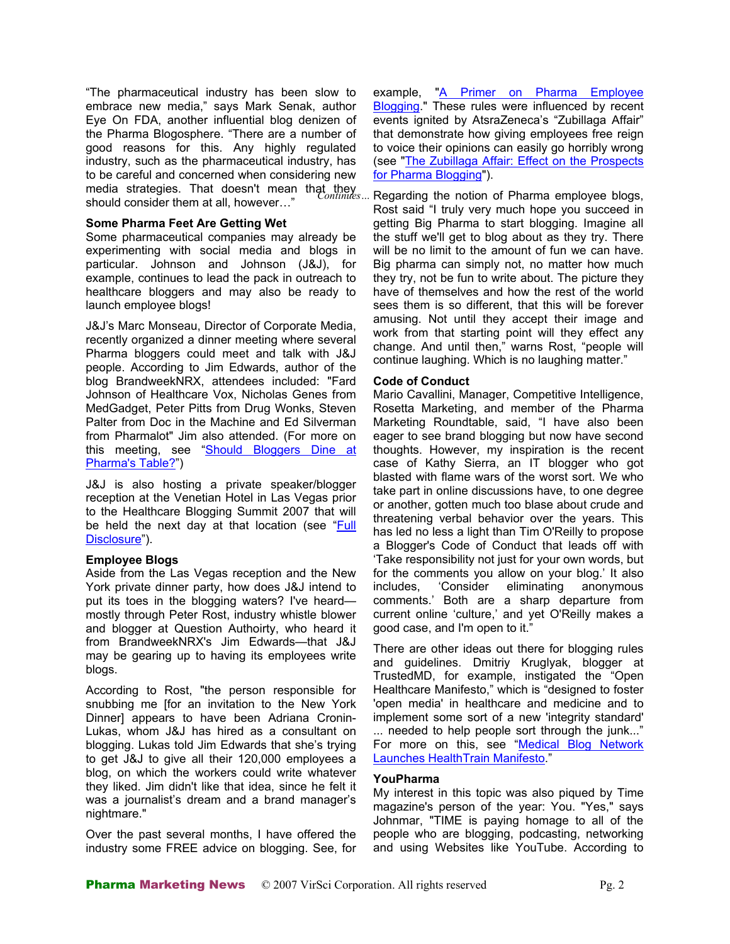"The pharmaceutical industry has been slow to embrace new media," says Mark Senak, author Eye On FDA, another influential blog denizen of the Pharma Blogosphere. "There are a number of good reasons for this. Any highly regulated industry, such as the pharmaceutical industry, has to be careful and concerned when considering new media strategies. That doesn't mean that they *Continues…* should consider them at all, however…"

### **Some Pharma Feet Are Getting Wet**

Some pharmaceutical companies may already be experimenting with social media and blogs in particular. Johnson and Johnson (J&J), for example, continues to lead the pack in outreach to healthcare bloggers and may also be ready to launch employee blogs!

J&J's Marc Monseau, Director of Corporate Media, recently organized a dinner meeting where several Pharma bloggers could meet and talk with J&J people. According to Jim Edwards, author of the blog BrandweekNRX, attendees included: "Fard Johnson of Healthcare Vox, Nicholas Genes from MedGadget, Peter Pitts from Drug Wonks, Steven Palter from Doc in the Machine and Ed Silverman from Pharmalot" Jim also attended. (For more on this meeting, see ["Should Bloggers Dine at](http://www.news.pharma-mkting.com/pmn63-oped.htm) [Pharma's Table?](http://www.news.pharma-mkting.com/pmn63-oped.htm)")

J&J is also hosting a private speaker/blogger reception at the Venetian Hotel in Las Vegas prior to the Healthcare Blogging Summit 2007 that will be held the next day at that location (see "[Full](http://www.news.pharma-mkting.com/pmn64-oped.htm)  [Disclosure"](http://www.news.pharma-mkting.com/pmn64-oped.htm)).

### **Employee Blogs**

Aside from the Las Vegas reception and the New York private dinner party, how does J&J intend to put its toes in the blogging waters? I've heard mostly through Peter Rost, industry whistle blower and blogger at Question Authoirty, who heard it from BrandweekNRX's Jim Edwards—that J&J may be gearing up to having its employees write blogs.

According to Rost, "the person responsible for snubbing me [for an invitation to the New York Dinner] appears to have been Adriana Cronin-Lukas, whom J&J has hired as a consultant on blogging. Lukas told Jim Edwards that she's trying to get J&J to give all their 120,000 employees a blog, on which the workers could write whatever they liked. Jim didn't like that idea, since he felt it was a journalist's dream and a brand manager's nightmare."

Over the past several months, I have offered the industry some FREE advice on blogging. See, for example, "A Primer [on Pharma Employee](http://www.news.pharma-mkting.com/pmn64-article05.htm) [Blogging](http://www.news.pharma-mkting.com/pmn64-article05.htm)." These rules were influenced by recent events ignited by AtsraZeneca's "Zubillaga Affair" that demonstrate how giving employees free reign to voice their opinions can easily go horribly wrong (see "[The Zubillaga Affair: Effect on the Prospects](http://pharmamkting.blogspot.com/2007/04/zubillaga-affair-effect-on-prospects.html)  [for Pharma Blogging](http://pharmamkting.blogspot.com/2007/04/zubillaga-affair-effect-on-prospects.html)").

Regarding the notion of Pharma employee blogs, Rost said "I truly very much hope you succeed in getting Big Pharma to start blogging. Imagine all the stuff we'll get to blog about as they try. There will be no limit to the amount of fun we can have. Big pharma can simply not, no matter how much they try, not be fun to write about. The picture they have of themselves and how the rest of the world sees them is so different, that this will be forever amusing. Not until they accept their image and work from that starting point will they effect any change. And until then," warns Rost, "people will continue laughing. Which is no laughing matter."

### **Code of Conduct**

Mario Cavallini, Manager, Competitive Intelligence, Rosetta Marketing, and member of the Pharma Marketing Roundtable, said, "I have also been eager to see brand blogging but now have second thoughts. However, my inspiration is the recent case of Kathy Sierra, an IT blogger who got blasted with flame wars of the worst sort. We who take part in online discussions have, to one degree or another, gotten much too blase about crude and threatening verbal behavior over the years. This has led no less a light than Tim O'Reilly to propose a Blogger's Code of Conduct that leads off with 'Take responsibility not just for your own words, but for the comments you allow on your blog.' It also includes, 'Consider eliminating anonymous comments.' Both are a sharp departure from current online 'culture,' and yet O'Reilly makes a good case, and I'm open to it."

There are other ideas out there for blogging rules and guidelines. Dmitriy Kruglyak, blogger at TrustedMD, for example, instigated the "Open Healthcare Manifesto," which is "designed to foster 'open media' in healthcare and medicine and to implement some sort of a new 'integrity standard' ... needed to help people sort through the junk..." For more on this, see "[Medical Blog Network](http://fardj.prblogs.org/2006/10/31/medical-blog-network-launches-healthtrain-manifesto/) [Launches HealthTrain Manifesto](http://fardj.prblogs.org/2006/10/31/medical-blog-network-launches-healthtrain-manifesto/)."

### **YouPharma**

My interest in this topic was also piqued by Time magazine's person of the year: You. "Yes," says Johnmar, "TIME is paying homage to all of the people who are blogging, podcasting, networking and using Websites like YouTube. According to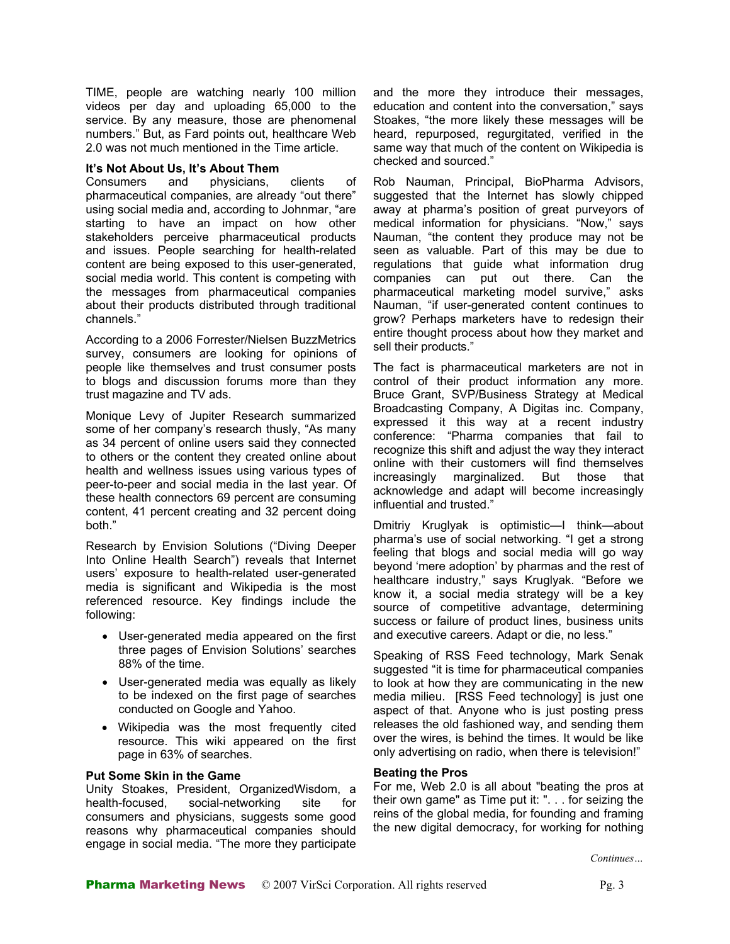TIME, people are watching nearly 100 million videos per day and uploading 65,000 to the service. By any measure, those are phenomenal numbers." But, as Fard points out, healthcare Web 2.0 was not much mentioned in the Time article.

#### **It's Not About Us, It's About Them**

Consumers and physicians, clients of pharmaceutical companies, are already "out there" using social media and, according to Johnmar, "are starting to have an impact on how other stakeholders perceive pharmaceutical products and issues. People searching for health-related content are being exposed to this user-generated, social media world. This content is competing with the messages from pharmaceutical companies about their products distributed through traditional channels."

According to a 2006 Forrester/Nielsen BuzzMetrics survey, consumers are looking for opinions of people like themselves and trust consumer posts to blogs and discussion forums more than they trust magazine and TV ads.

Monique Levy of Jupiter Research summarized some of her company's research thusly, "As many as 34 percent of online users said they connected to others or the content they created online about health and wellness issues using various types of peer-to-peer and social media in the last year. Of these health connectors 69 percent are consuming content, 41 percent creating and 32 percent doing both."

Research by Envision Solutions ("Diving Deeper Into Online Health Search") reveals that Internet users' exposure to health-related user-generated media is significant and Wikipedia is the most referenced resource. Key findings include the following:

- User-generated media appeared on the first three pages of Envision Solutions' searches 88% of the time.
- User-generated media was equally as likely to be indexed on the first page of searches conducted on Google and Yahoo.
- Wikipedia was the most frequently cited resource. This wiki appeared on the first page in 63% of searches.

### **Put Some Skin in the Game**

Unity Stoakes, President, OrganizedWisdom, a health-focused, social-networking site for consumers and physicians, suggests some good reasons why pharmaceutical companies should engage in social media. "The more they participate

and the more they introduce their messages, education and content into the conversation," says Stoakes, "the more likely these messages will be heard, repurposed, regurgitated, verified in the same way that much of the content on Wikipedia is checked and sourced."

Rob Nauman, Principal, BioPharma Advisors, suggested that the Internet has slowly chipped away at pharma's position of great purveyors of medical information for physicians. "Now," says Nauman, "the content they produce may not be seen as valuable. Part of this may be due to regulations that guide what information drug companies can put out there. Can the pharmaceutical marketing model survive," asks Nauman, "if user-generated content continues to grow? Perhaps marketers have to redesign their entire thought process about how they market and sell their products."

The fact is pharmaceutical marketers are not in control of their product information any more. Bruce Grant, SVP/Business Strategy at Medical Broadcasting Company, A Digitas inc. Company, expressed it this way at a recent industry conference: "Pharma companies that fail to recognize this shift and adjust the way they interact online with their customers will find themselves increasingly marginalized. But those that acknowledge and adapt will become increasingly influential and trusted."

Dmitriy Kruglyak is optimistic—I think—about pharma's use of social networking. "I get a strong feeling that blogs and social media will go way beyond 'mere adoption' by pharmas and the rest of healthcare industry," says Kruglyak. "Before we know it, a social media strategy will be a key source of competitive advantage, determining success or failure of product lines, business units and executive careers. Adapt or die, no less."

Speaking of RSS Feed technology, Mark Senak suggested "it is time for pharmaceutical companies to look at how they are communicating in the new media milieu. [RSS Feed technology] is just one aspect of that. Anyone who is just posting press releases the old fashioned way, and sending them over the wires, is behind the times. It would be like only advertising on radio, when there is television!"

#### **Beating the Pros**

For me, Web 2.0 is all about "beating the pros at their own game" as Time put it: ". . . for seizing the reins of the global media, for founding and framing the new digital democracy, for working for nothing